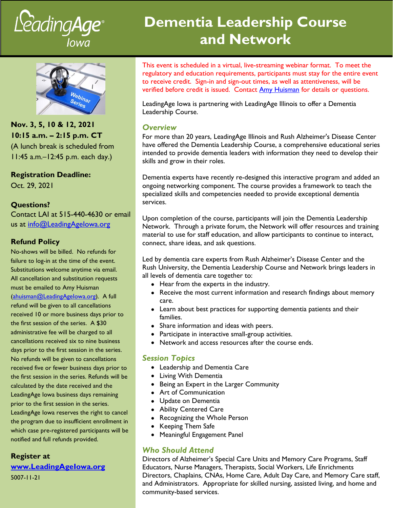

# **Dementia Leadership Course and Network**



**Nov. 3, 5, 10 & 12, 2021 10:15 a.m. – 2:15 p.m. CT** (A lunch break is scheduled from 11:45 a.m.–12:45 p.m. each day.)

**Registration Deadline:** Oct. 29, 2021

#### **Questions?**

Contact LAI at 515-440-4630 or email us at info@LeadingAgelowa.org

# **Refund Policy**

No-shows will be billed. No refunds for failure to log-in at the time of the event. Substitutions welcome anytime via email. All cancellation and substitution requests must be emailed to Amy Huisman (ahuisman@LeadingAgelowa.org). A full refund will be given to all cancellations received 10 or more business days prior to the first session of the series. A \$30 administrative fee will be charged to all cancellations received six to nine business days prior to the first session in the series. No refunds will be given to cancellations received five or fewer business days prior to the first session in the series. Refunds will be calculated by the date received and the LeadingAge Iowa business days remaining prior to the first session in the series. LeadingAge Iowa reserves the right to cancel the program due to insufficient enrollment in which case pre-registered participants will be notified and full refunds provided.

# **Register at**

**[www.LeadingAgeIowa.org](https://lai.memberclicks.net/dementialeadershipcourse)** 5007-11-21

This event is scheduled in a virtual, live-streaming webinar format. To meet the regulatory and education requirements, participants must stay for the entire event to receive credit. Sign-in and sign-out times, as well as attentiveness, will be verified before credit is issued. Contact [Amy Huisman](mailto:ahuisman@leadingageiowa.org) for details or questions.

LeadingAge Iowa is partnering with LeadingAge Illinois to offer a Dementia Leadership Course.

#### *Overview*

For more than 20 years, LeadingAge Illinois and Rush Alzheimer's Disease Center have offered the Dementia Leadership Course, a comprehensive educational series intended to provide dementia leaders with information they need to develop their skills and grow in their roles.

Dementia experts have recently re-designed this interactive program and added an ongoing networking component. The course provides a framework to teach the specialized skills and competencies needed to provide exceptional dementia services.

Upon completion of the course, participants will join the Dementia Leadership Network. Through a private forum, the Network will offer resources and training material to use for staff education, and allow participants to continue to interact, connect, share ideas, and ask questions.

Led by dementia care experts from Rush Alzheimer's Disease Center and the Rush University, the Dementia Leadership Course and Network brings leaders in all levels of dementia care together to:

- Hear from the experts in the industry.
- Receive the most current information and research findings about memory care.
- Learn about best practices for supporting dementia patients and their families.
- Share information and ideas with peers.
- Participate in interactive small-group activities.
- Network and access resources after the course ends.

# *Session Topics*

- Leadership and Dementia Care
- Living With Dementia
- Being an Expert in the Larger Community
- Art of Communication
- Update on Dementia
- Ability Centered Care
- Recognizing the Whole Person
- Keeping Them Safe
- Meaningful Engagement Panel

# *Who Should Attend*

Directors of Alzheimer's Special Care Units and Memory Care Programs, Staff Educators, Nurse Managers, Therapists, Social Workers, Life Enrichments Directors, Chaplains, CNAs, Home Care, Adult Day Care, and Memory Care staff, and Administrators. Appropriate for skilled nursing, assisted living, and home and community-based services.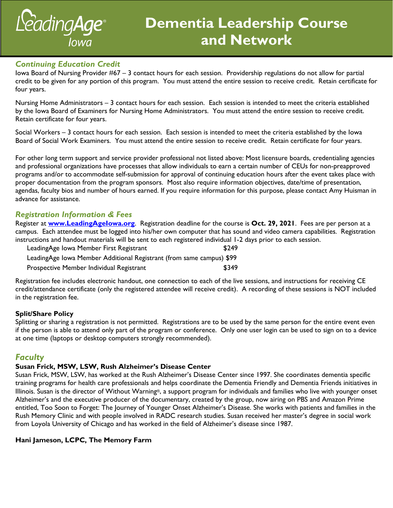

# *Continuing Education Credit*

Iowa Board of Nursing Provider #67 – 3 contact hours for each session. Providership regulations do not allow for partial credit to be given for any portion of this program. You must attend the entire session to receive credit. Retain certificate for four years.

Nursing Home Administrators – 3 contact hours for each session. Each session is intended to meet the criteria established by the Iowa Board of Examiners for Nursing Home Administrators. You must attend the entire session to receive credit. Retain certificate for four years.

Social Workers – 3 contact hours for each session. Each session is intended to meet the criteria established by the Iowa Board of Social Work Examiners. You must attend the entire session to receive credit. Retain certificate for four years.

For other long term support and service provider professional not listed above: Most licensure boards, credentialing agencies and professional organizations have processes that allow individuals to earn a certain number of CEUs for non-preapproved programs and/or to accommodate self-submission for approval of continuing education hours after the event takes place with proper documentation from the program sponsors. Most also require information objectives, date/time of presentation, agendas, faculty bios and number of hours earned. If you require information for this purpose, please contact Amy Huisman in advance for assistance.

# *Registration Information & Fees*

Register at **[www.LeadingAgeIowa.org](https://lai.memberclicks.net/dementialeadershipcourse)**. Registration deadline for the course is **Oct. 29, 2021**. Fees are per person at a campus. Each attendee must be logged into his/her own computer that has sound and video camera capabilities. Registration instructions and handout materials will be sent to each registered individual 1-2 days prior to each session.

| LeadingAge Iowa Member First Registrant                              | \$249 |
|----------------------------------------------------------------------|-------|
| LeadingAge Iowa Member Additional Registrant (from same campus) \$99 |       |
| Prospective Member Individual Registrant                             | \$349 |

Registration fee includes electronic handout, one connection to each of the live sessions, and instructions for receiving CE credit/attendance certificate (only the registered attendee will receive credit). A recording of these sessions is NOT included in the registration fee.

# **Split/Share Policy**

Splitting or sharing a registration is not permitted. Registrations are to be used by the same person for the entire event even if the person is able to attend only part of the program or conference. Only one user login can be used to sign on to a device at one time (laptops or desktop computers strongly recommended).

# *Faculty*

#### **Susan Frick, MSW, LSW, Rush Alzheimer's Disease Center**

Susan Frick, MSW, LSW, has worked at the Rush Alzheimer's Disease Center since 1997. She coordinates dementia specific training programs for health care professionals and helps coordinate the Dementia Friendly and Dementia Friends initiatives in Illinois. Susan is the director of Without Warning®, a support program for individuals and families who live with younger onset Alzheimer's and the executive producer of the documentary, created by the group, now airing on PBS and Amazon Prime entitled, Too Soon to Forget: The Journey of Younger Onset Alzheimer's Disease. She works with patients and families in the Rush Memory Clinic and with people involved in RADC research studies. Susan received her master's degree in social work from Loyola University of Chicago and has worked in the field of Alzheimer's disease since 1987.

#### **Hani Jameson, LCPC, The Memory Farm**